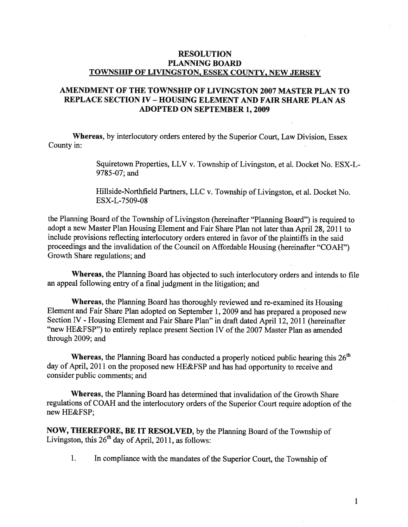## RESOLUTION PLANNING BOARD TOWNSHIP OF LIVINGSTON, ESSEX COUNTY, NEW JERSEY

## AMENDMENT OF THE TOWNSHIP OF LIVINGSTON 2007 MASTER PLAN TO REPLACE SECTION IV - HOUSING ELEMENT AND FAIR SHARE PLAN AS ADOPTED ON SEPTEMBER 1, 2009

Whereas, by interlocutory orders entered by the Superior Court, Law Division, Essex County in:

> Squiretown Properties, LLV v. Township of Livingston, et al. Docket No. ESX-L 9785-07; and

Hillside-Northfield Partners, LLC v. Township of Livingston, et al. Docket No. ESX-L-7509-08

the Planning Board of the Township of Livingston (hereinafter "Planning Board") is required to adopt <sup>a</sup> new Master Plan Housing Element and Fair Share Plan not later than April 28, <sup>2011</sup> to include provisions reflecting interlocutory orders entered in favor of the plaintiffs in the said proceedings and the invalidation of the Council on Affordable Housing (hereinafter "COAH") Growth Share regulations; and

Whereas, the Planning Board has objected to such interlocutory orders and intends to file an appea<sup>l</sup> following entry of <sup>a</sup> final judgment in the litigation; and

Whereas, the Planning Board has thoroughly reviewed and re-examined its Housing Element and Fair Share Plan adopted on September 1, <sup>2009</sup> and has prepare<sup>d</sup> <sup>a</sup> propose<sup>d</sup> new Section IV -Housing Element and Fair Share Plan" in draft dated April 12, <sup>2011</sup> (hereinafter "new HE&FSP") to entirely replace present Section IV of the 2007 Master Plan as amended through 2009; and

**Whereas,** the Planning Board has conducted a properly noticed public hearing this  $26<sup>th</sup>$ day of April, <sup>2011</sup> on the propose<sup>d</sup> new HE&FSP and has had opportunity to receive and consider public comments; and

Whereas, the Planning Board has determined that invalidation of the Growth Share regulations of COAH and the interlocutory orders of the Superior Court require adoption of the new HE&FSP;

NOW, THEREFORE, BE IT RESOLVED, by the Planning Board of the Township of Livingston, this  $26<sup>th</sup>$  day of April, 2011, as follows:

1. In compliance with the mandates of the Superior Court, the Township of

1